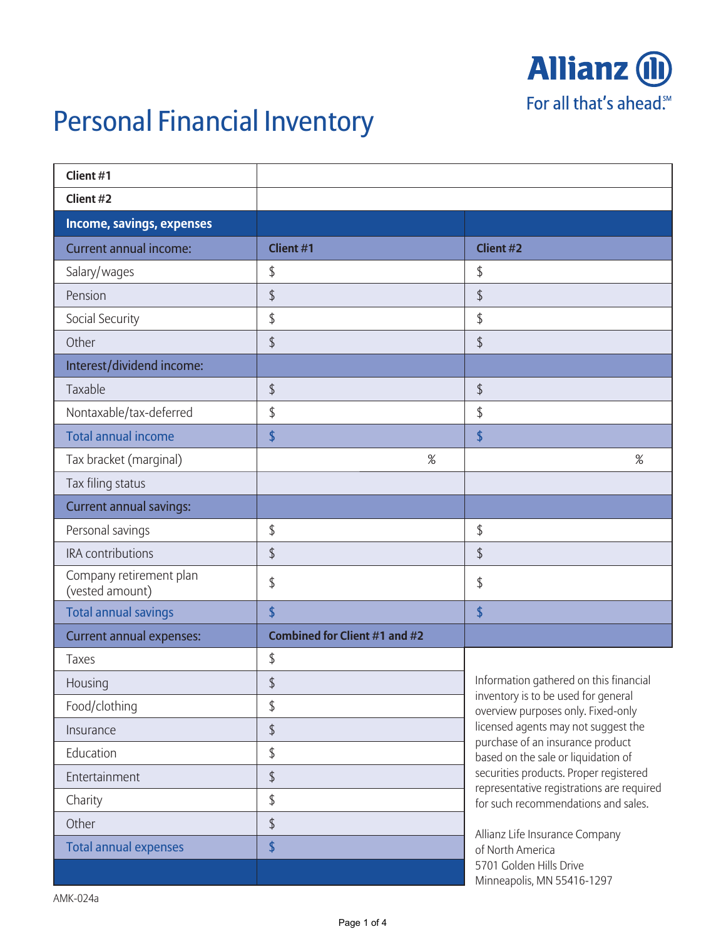

## Personal Financial Inventory

| Client #1                                  |                                      |                                                                                     |
|--------------------------------------------|--------------------------------------|-------------------------------------------------------------------------------------|
| Client #2                                  |                                      |                                                                                     |
| Income, savings, expenses                  |                                      |                                                                                     |
| <b>Current annual income:</b>              | <b>Client #1</b>                     | <b>Client #2</b>                                                                    |
| Salary/wages                               | \$                                   | \$                                                                                  |
| Pension                                    | $\updownarrow$                       | \$                                                                                  |
| Social Security                            | \$                                   | \$                                                                                  |
| Other                                      | \$                                   | \$                                                                                  |
| Interest/dividend income:                  |                                      |                                                                                     |
| Taxable                                    | $\updownarrow$                       | \$                                                                                  |
| Nontaxable/tax-deferred                    | \$                                   | \$                                                                                  |
| <b>Total annual income</b>                 | \$                                   | \$                                                                                  |
| Tax bracket (marginal)                     | $\%$                                 | %                                                                                   |
| Tax filing status                          |                                      |                                                                                     |
| <b>Current annual savings:</b>             |                                      |                                                                                     |
| Personal savings                           | \$                                   | \$                                                                                  |
| IRA contributions                          | \$                                   | \$                                                                                  |
| Company retirement plan<br>(vested amount) | \$                                   | \$                                                                                  |
| <b>Total annual savings</b>                | \$                                   | \$                                                                                  |
| <b>Current annual expenses:</b>            | <b>Combined for Client #1 and #2</b> |                                                                                     |
| Taxes                                      | \$                                   |                                                                                     |
| Housing                                    | $\updownarrow$                       | Information gathered on this financial                                              |
| Food/clothing                              | \$                                   | inventory is to be used for general<br>overview purposes only. Fixed-only           |
| Insurance                                  | $\updownarrow$                       | licensed agents may not suggest the<br>purchase of an insurance product             |
| Education                                  | \$                                   | based on the sale or liquidation of                                                 |
| Entertainment                              | $\updownarrow$                       | securities products. Proper registered<br>representative registrations are required |
| Charity                                    | \$                                   | for such recommendations and sales.                                                 |
| Other                                      | $\updownarrow$                       | Allianz Life Insurance Company                                                      |
| <b>Total annual expenses</b>               | \$                                   | of North America                                                                    |
|                                            |                                      | 5701 Golden Hills Drive<br>Minneapolis, MN 55416-1297                               |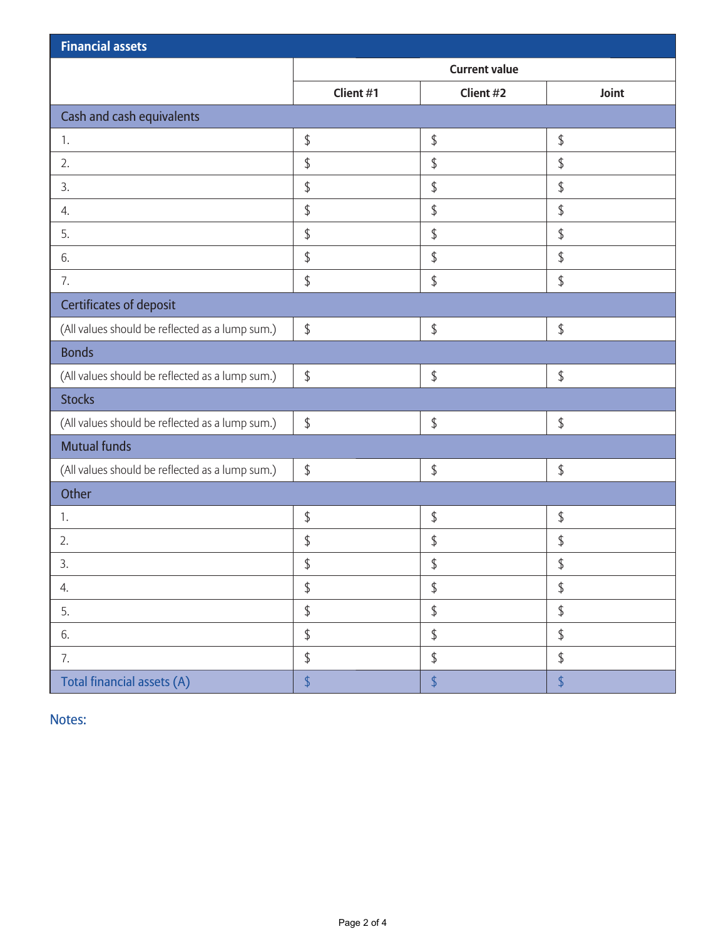| <b>Financial assets</b>                         |                      |                |                |  |  |  |
|-------------------------------------------------|----------------------|----------------|----------------|--|--|--|
|                                                 | <b>Current value</b> |                |                |  |  |  |
|                                                 | Client #1            | Client #2      | Joint          |  |  |  |
| Cash and cash equivalents                       |                      |                |                |  |  |  |
| 1.                                              | \$                   | \$             | \$             |  |  |  |
| 2.                                              | \$                   | $\updownarrow$ | \$             |  |  |  |
| 3.                                              | \$                   | \$             | \$             |  |  |  |
| 4.                                              | \$                   | $\frac{1}{2}$  | \$             |  |  |  |
| 5.                                              | \$                   | \$             | \$             |  |  |  |
| 6.                                              | \$                   | \$             | \$             |  |  |  |
| 7.                                              | \$                   | \$             | \$             |  |  |  |
| <b>Certificates of deposit</b>                  |                      |                |                |  |  |  |
| (All values should be reflected as a lump sum.) | $\updownarrow$       | \$             | \$             |  |  |  |
| <b>Bonds</b>                                    |                      |                |                |  |  |  |
| (All values should be reflected as a lump sum.) | \$                   | \$             | \$             |  |  |  |
| <b>Stocks</b>                                   |                      |                |                |  |  |  |
| (All values should be reflected as a lump sum.) | $\updownarrow$       | \$             | \$             |  |  |  |
| <b>Mutual funds</b>                             |                      |                |                |  |  |  |
| (All values should be reflected as a lump sum.) | $\updownarrow$       | \$             | \$             |  |  |  |
| Other                                           |                      |                |                |  |  |  |
| 1.                                              | \$                   | \$             | \$             |  |  |  |
| 2.                                              | \$                   | \$             | \$             |  |  |  |
| 3.                                              | $\updownarrow$       | \$             | $\updownarrow$ |  |  |  |
| 4.                                              | $\frac{1}{2}$        | $\frac{1}{2}$  | \$             |  |  |  |
| 5.                                              | $\updownarrow$       | $\updownarrow$ | \$             |  |  |  |
| 6.                                              | \$                   | \$             | \$             |  |  |  |
| 7.                                              | \$                   | \$             | \$             |  |  |  |
| Total financial assets (A)                      | $\sqrt$              | $\sqrt$        | $\frac{1}{2}$  |  |  |  |

Notes: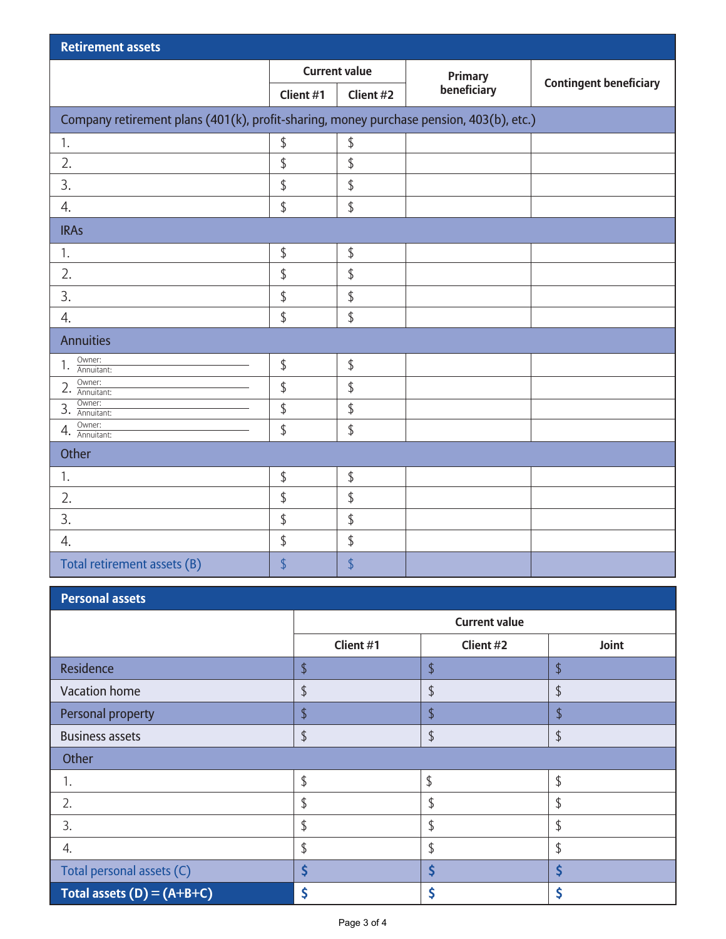| <b>Retirement assets</b>                                                                |                      |                |             |                               |  |  |  |
|-----------------------------------------------------------------------------------------|----------------------|----------------|-------------|-------------------------------|--|--|--|
|                                                                                         | <b>Current value</b> |                | Primary     |                               |  |  |  |
|                                                                                         | Client #1            | Client #2      | beneficiary | <b>Contingent beneficiary</b> |  |  |  |
| Company retirement plans (401(k), profit-sharing, money purchase pension, 403(b), etc.) |                      |                |             |                               |  |  |  |
| 1.                                                                                      | \$                   | \$             |             |                               |  |  |  |
| 2.                                                                                      | \$                   | \$             |             |                               |  |  |  |
| 3.                                                                                      | \$                   | \$             |             |                               |  |  |  |
| 4.                                                                                      | \$                   | \$             |             |                               |  |  |  |
| <b>IRAs</b>                                                                             |                      |                |             |                               |  |  |  |
| 1.                                                                                      | $\updownarrow$       | \$             |             |                               |  |  |  |
| 2.                                                                                      | \$                   | $\updownarrow$ |             |                               |  |  |  |
| 3.                                                                                      | \$                   | \$             |             |                               |  |  |  |
| $\overline{4}$ .                                                                        | \$                   | \$             |             |                               |  |  |  |
| <b>Annuities</b>                                                                        |                      |                |             |                               |  |  |  |
| Owner:<br>1.<br>Annuitant:                                                              | $\sqrt$              | \$             |             |                               |  |  |  |
| Owner:<br>$2. \frac{UW11C1}{\text{Annultant:}}$                                         | $\updownarrow$       | \$             |             |                               |  |  |  |
| Owner:<br>3.<br>Annuitant:                                                              | $\frac{1}{2}$        | \$             |             |                               |  |  |  |
| Owner:<br>$4. \frac{UW11C1}{Annultant:}$                                                | \$                   | \$             |             |                               |  |  |  |
| Other                                                                                   |                      |                |             |                               |  |  |  |
| 1.                                                                                      | \$                   | \$             |             |                               |  |  |  |
| 2.                                                                                      | \$                   | \$             |             |                               |  |  |  |
| 3.                                                                                      | \$                   | $\updownarrow$ |             |                               |  |  |  |
| 4.                                                                                      | \$                   | \$             |             |                               |  |  |  |
| Total retirement assets (B)                                                             | \$                   | \$             |             |                               |  |  |  |

| Personal assets |  |
|-----------------|--|
|                 |  |

|                              | <b>Current value</b>    |               |       |  |  |  |
|------------------------------|-------------------------|---------------|-------|--|--|--|
|                              | Client #1               | Client #2     | Joint |  |  |  |
| Residence                    | $\updownarrow$          | \$            | \$    |  |  |  |
| Vacation home                | \$                      | \$            | \$    |  |  |  |
| Personal property            | $\overline{\mathbf{S}}$ | ¢             | T     |  |  |  |
| <b>Business assets</b>       | \$                      | $\frac{1}{2}$ | \$    |  |  |  |
| Other                        |                         |               |       |  |  |  |
| 1.                           | \$                      | \$            | \$    |  |  |  |
| 2.                           | \$                      | \$            | \$    |  |  |  |
| 3.                           | \$                      | \$            | \$    |  |  |  |
| 4.                           | \$                      | \$            | \$    |  |  |  |
| Total personal assets (C)    | \$                      | Ś             | Ś     |  |  |  |
| Total assets $(D) = (A+B+C)$ | \$                      | \$            |       |  |  |  |